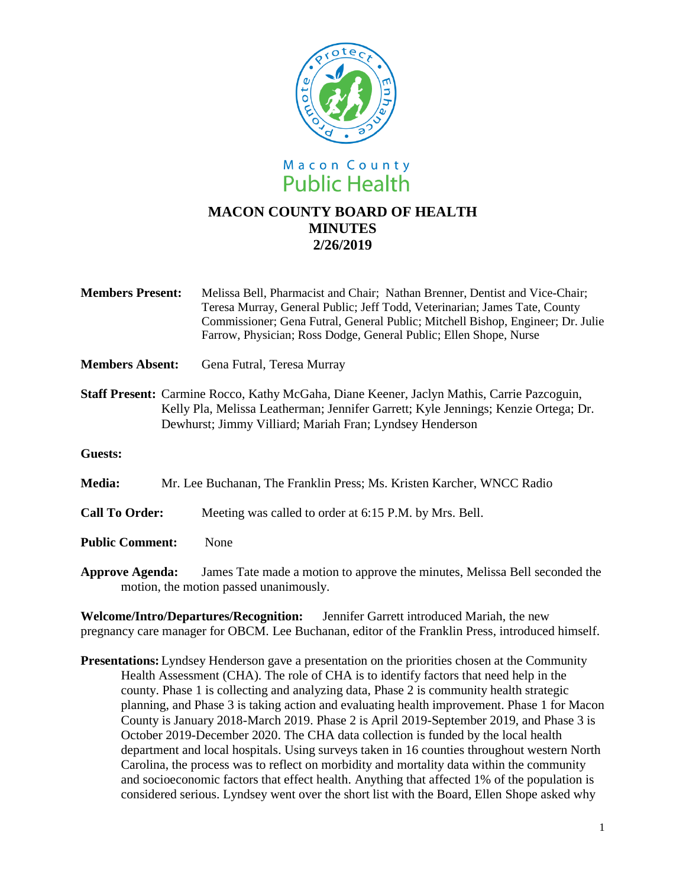

- **Members Present:** Melissa Bell, Pharmacist and Chair; Nathan Brenner, Dentist and Vice-Chair; Teresa Murray, General Public; Jeff Todd, Veterinarian; James Tate, County Commissioner; Gena Futral, General Public; Mitchell Bishop, Engineer; Dr. Julie Farrow, Physician; Ross Dodge, General Public; Ellen Shope, Nurse
- **Members Absent:** Gena Futral, Teresa Murray
- **Staff Present:** Carmine Rocco, Kathy McGaha, Diane Keener, Jaclyn Mathis, Carrie Pazcoguin, Kelly Pla, Melissa Leatherman; Jennifer Garrett; Kyle Jennings; Kenzie Ortega; Dr. Dewhurst; Jimmy Villiard; Mariah Fran; Lyndsey Henderson
- **Guests:**

**Media:** Mr. Lee Buchanan, The Franklin Press; Ms. Kristen Karcher, WNCC Radio

**Call To Order:** Meeting was called to order at 6:15 P.M. by Mrs. Bell.

- **Public Comment:** None
- **Approve Agenda:** James Tate made a motion to approve the minutes, Melissa Bell seconded the motion, the motion passed unanimously.

**Welcome/Intro/Departures/Recognition:** Jennifer Garrett introduced Mariah, the new pregnancy care manager for OBCM. Lee Buchanan, editor of the Franklin Press, introduced himself.

**Presentations:**Lyndsey Henderson gave a presentation on the priorities chosen at the Community Health Assessment (CHA). The role of CHA is to identify factors that need help in the county. Phase 1 is collecting and analyzing data, Phase 2 is community health strategic planning, and Phase 3 is taking action and evaluating health improvement. Phase 1 for Macon County is January 2018-March 2019. Phase 2 is April 2019-September 2019, and Phase 3 is October 2019-December 2020. The CHA data collection is funded by the local health department and local hospitals. Using surveys taken in 16 counties throughout western North Carolina, the process was to reflect on morbidity and mortality data within the community and socioeconomic factors that effect health. Anything that affected 1% of the population is considered serious. Lyndsey went over the short list with the Board, Ellen Shope asked why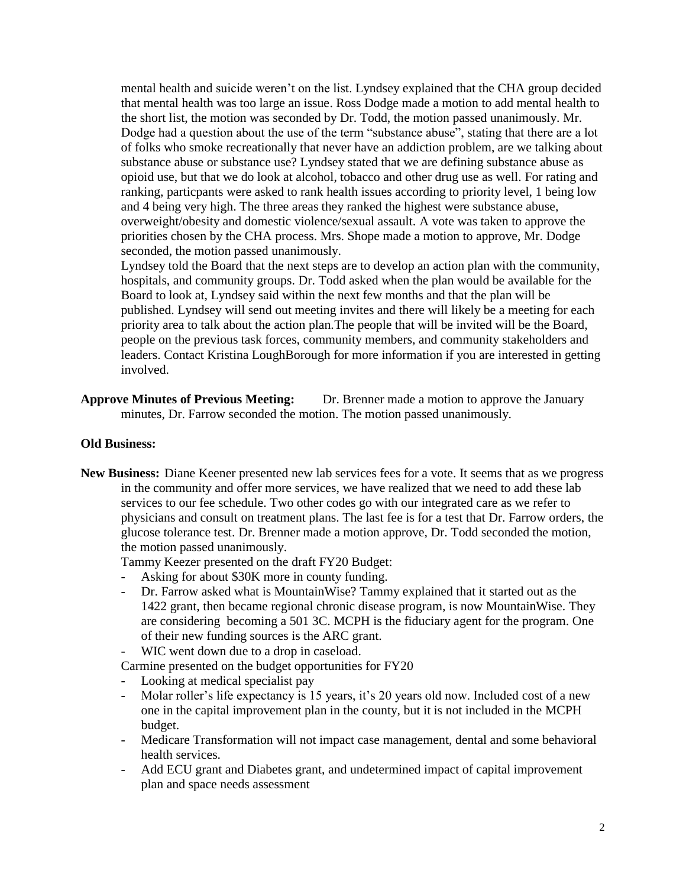mental health and suicide weren't on the list. Lyndsey explained that the CHA group decided that mental health was too large an issue. Ross Dodge made a motion to add mental health to the short list, the motion was seconded by Dr. Todd, the motion passed unanimously. Mr. Dodge had a question about the use of the term "substance abuse", stating that there are a lot of folks who smoke recreationally that never have an addiction problem, are we talking about substance abuse or substance use? Lyndsey stated that we are defining substance abuse as opioid use, but that we do look at alcohol, tobacco and other drug use as well. For rating and ranking, particpants were asked to rank health issues according to priority level, 1 being low and 4 being very high. The three areas they ranked the highest were substance abuse, overweight/obesity and domestic violence/sexual assault. A vote was taken to approve the priorities chosen by the CHA process. Mrs. Shope made a motion to approve, Mr. Dodge seconded, the motion passed unanimously.

Lyndsey told the Board that the next steps are to develop an action plan with the community, hospitals, and community groups. Dr. Todd asked when the plan would be available for the Board to look at, Lyndsey said within the next few months and that the plan will be published. Lyndsey will send out meeting invites and there will likely be a meeting for each priority area to talk about the action plan.The people that will be invited will be the Board, people on the previous task forces, community members, and community stakeholders and leaders. Contact Kristina LoughBorough for more information if you are interested in getting involved.

**Approve Minutes of Previous Meeting:** Dr. Brenner made a motion to approve the January minutes, Dr. Farrow seconded the motion. The motion passed unanimously.

## **Old Business:**

**New Business:** Diane Keener presented new lab services fees for a vote. It seems that as we progress in the community and offer more services, we have realized that we need to add these lab services to our fee schedule. Two other codes go with our integrated care as we refer to physicians and consult on treatment plans. The last fee is for a test that Dr. Farrow orders, the glucose tolerance test. Dr. Brenner made a motion approve, Dr. Todd seconded the motion, the motion passed unanimously.

Tammy Keezer presented on the draft FY20 Budget:

- Asking for about \$30K more in county funding.
- Dr. Farrow asked what is MountainWise? Tammy explained that it started out as the 1422 grant, then became regional chronic disease program, is now MountainWise. They are considering becoming a 501 3C. MCPH is the fiduciary agent for the program. One of their new funding sources is the ARC grant.
- WIC went down due to a drop in caseload.

Carmine presented on the budget opportunities for FY20

- Looking at medical specialist pay
- Molar roller's life expectancy is 15 years, it's 20 years old now. Included cost of a new one in the capital improvement plan in the county, but it is not included in the MCPH budget.
- Medicare Transformation will not impact case management, dental and some behavioral health services.
- Add ECU grant and Diabetes grant, and undetermined impact of capital improvement plan and space needs assessment